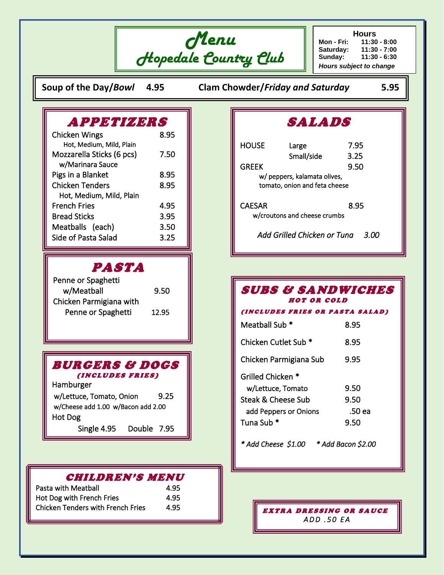

**Hours Mon - Fri: 11:30 - 8:00 Saturday: 11:30 - 7:00 Sunday: 11:30 - 6:30** *Hours subject to change*

**Soup of the Day/***Bowl* **4.95 Clam Chowder/***Friday and Saturday* **5.95**

# APPETIZERS

| <b>Chicken Wings</b>      | 8.95 |
|---------------------------|------|
| Hot, Medium, Mild, Plain  |      |
| Mozzarella Sticks (6 pcs) | 7.50 |
| w/Marinara Sauce          |      |
| Pigs in a Blanket         | 8.95 |
| <b>Chicken Tenders</b>    | 8.95 |
| Hot, Medium, Mild, Plain  |      |
| <b>French Fries</b>       | 4.95 |
| <b>Bread Sticks</b>       | 3.95 |
| Meatballs (each)          | 3.50 |
| Side of Pasta Salad       | 3.25 |
|                           |      |

## PASTA

| Penne or Spaghetti      |       |
|-------------------------|-------|
| w/Meatball              | 9.50  |
| Chicken Parmigiana with |       |
| Penne or Spaghetti      | 12.95 |

| <i><b>BURGERS &amp; DOGS</b></i> |  |  |
|----------------------------------|--|--|
| <i>(INCLUDES FRIES)</i>          |  |  |

Hamburger w/Lettuce, Tomato, Onion 9.25 w/Cheese add 1.00 w/Bacon add 2.00 Hot Dog Single 4.95 Double 7.95

### CHILDREN'S MENU

| Pasta with Meatball                      | 4.95 |
|------------------------------------------|------|
| Hot Dog with French Fries                | 4.95 |
| <b>Chicken Tenders with French Fries</b> | 4.95 |

# SALADS

| <b>HOUSE</b>  | Large                         | 7.95 |     |
|---------------|-------------------------------|------|-----|
|               | Small/side                    | 3.25 |     |
| <b>GREEK</b>  |                               | 9.50 |     |
|               | w/ peppers, kalamata olives,  |      |     |
|               | tomato, onion and feta cheese |      |     |
|               |                               |      |     |
| <b>CAESAR</b> |                               | 8.95 |     |
|               | w/croutons and cheese crumbs  |      |     |
|               |                               |      |     |
|               | Add Grilled Chicken or Tuna   |      | 3.0 |

## SUBS & SANDWICHES HOT OR COLD

#### ( IN CLUDES FRIES OR PASTA SALAD )

| Meatball Sub *                  | 8.95   |
|---------------------------------|--------|
| Chicken Cutlet Sub <sup>*</sup> | 8.95   |
| Chicken Parmigiana Sub          | 9.95   |
| Grilled Chicken *               |        |
| w/Lettuce, Tomato               | 9.50   |
| Steak & Cheese Sub              | 9.50   |
| add Peppers or Onions           | .50 ea |
| Tuna Sub <sup>*</sup>           | 9.50   |
|                                 |        |

*\* Add Cheese \$1.00 \* Add Bacon \$2.00* 

EXTRA DRESSING OR SAUCE *A D D . 5 0 E A*